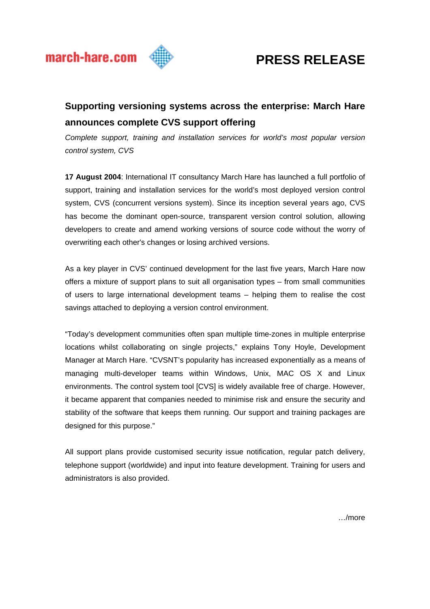

# **PRESS RELEASE**

# **Supporting versioning systems across the enterprise: March Hare announces complete CVS support offering**

*Complete support, training and installation services for world's most popular version control system, CVS* 

**17 August 2004**: International IT consultancy March Hare has launched a full portfolio of support, training and installation services for the world's most deployed version control system, CVS (concurrent versions system). Since its inception several years ago, CVS has become the dominant open-source, transparent version control solution, allowing developers to create and amend working versions of source code without the worry of overwriting each other's changes or losing archived versions.

As a key player in CVS' continued development for the last five years, March Hare now offers a mixture of support plans to suit all organisation types – from small communities of users to large international development teams – helping them to realise the cost savings attached to deploying a version control environment.

"Today's development communities often span multiple time-zones in multiple enterprise locations whilst collaborating on single projects," explains Tony Hoyle, Development Manager at March Hare. "CVSNT's popularity has increased exponentially as a means of managing multi-developer teams within Windows, Unix, MAC OS X and Linux environments. The control system tool [CVS] is widely available free of charge. However, it became apparent that companies needed to minimise risk and ensure the security and stability of the software that keeps them running. Our support and training packages are designed for this purpose."

All support plans provide customised security issue notification, regular patch delivery, telephone support (worldwide) and input into feature development. Training for users and administrators is also provided.

…/more